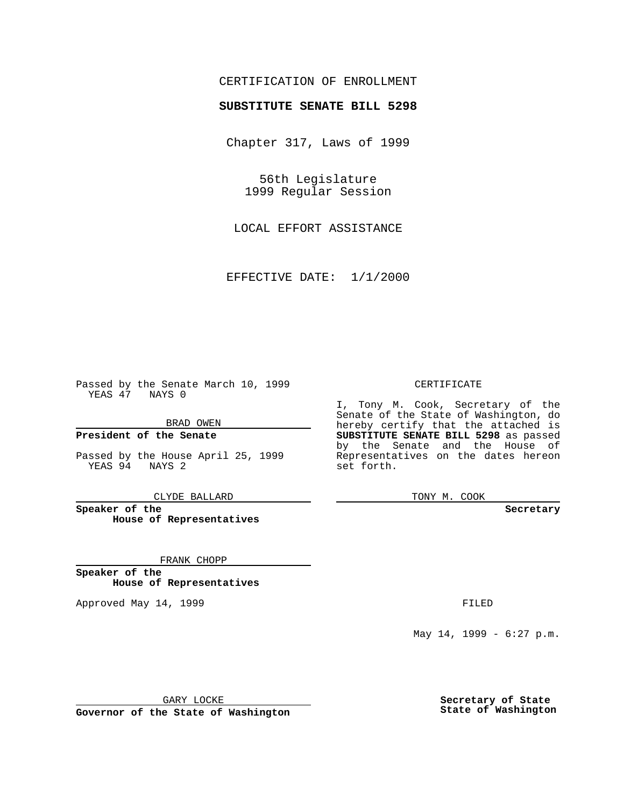### CERTIFICATION OF ENROLLMENT

# **SUBSTITUTE SENATE BILL 5298**

Chapter 317, Laws of 1999

56th Legislature 1999 Regular Session

LOCAL EFFORT ASSISTANCE

EFFECTIVE DATE: 1/1/2000

Passed by the Senate March 10, 1999 YEAS 47 NAYS 0

BRAD OWEN

**President of the Senate**

Passed by the House April 25, 1999 YEAS 94 NAYS 2

CLYDE BALLARD

**Speaker of the House of Representatives**

FRANK CHOPP

**Speaker of the House of Representatives**

Approved May 14, 1999 **FILED** 

#### CERTIFICATE

I, Tony M. Cook, Secretary of the Senate of the State of Washington, do hereby certify that the attached is **SUBSTITUTE SENATE BILL 5298** as passed by the Senate and the House of Representatives on the dates hereon set forth.

TONY M. COOK

#### **Secretary**

May 14, 1999 - 6:27 p.m.

GARY LOCKE

**Governor of the State of Washington**

**Secretary of State State of Washington**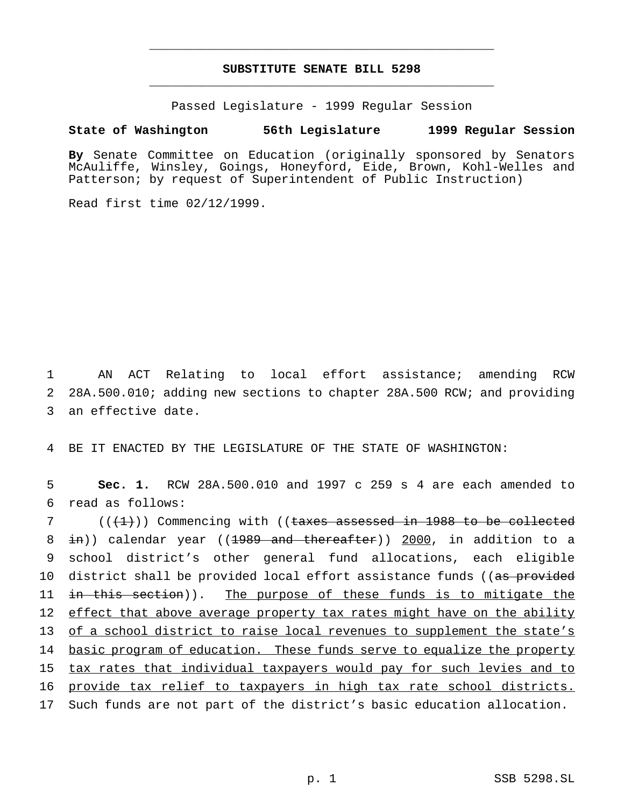## **SUBSTITUTE SENATE BILL 5298** \_\_\_\_\_\_\_\_\_\_\_\_\_\_\_\_\_\_\_\_\_\_\_\_\_\_\_\_\_\_\_\_\_\_\_\_\_\_\_\_\_\_\_\_\_\_\_

\_\_\_\_\_\_\_\_\_\_\_\_\_\_\_\_\_\_\_\_\_\_\_\_\_\_\_\_\_\_\_\_\_\_\_\_\_\_\_\_\_\_\_\_\_\_\_

Passed Legislature - 1999 Regular Session

### **State of Washington 56th Legislature 1999 Regular Session**

**By** Senate Committee on Education (originally sponsored by Senators McAuliffe, Winsley, Goings, Honeyford, Eide, Brown, Kohl-Welles and Patterson; by request of Superintendent of Public Instruction)

Read first time 02/12/1999.

1 AN ACT Relating to local effort assistance; amending RCW 2 28A.500.010; adding new sections to chapter 28A.500 RCW; and providing 3 an effective date.

4 BE IT ENACTED BY THE LEGISLATURE OF THE STATE OF WASHINGTON:

5 **Sec. 1.** RCW 28A.500.010 and 1997 c 259 s 4 are each amended to 6 read as follows:

 ( $(\{+1\})$ ) Commencing with ((taxes assessed in 1988 to be collected 8 in)) calendar year ((1989 and thereafter)) 2000, in addition to a school district's other general fund allocations, each eligible 10 district shall be provided local effort assistance funds ((as provided 11 in this section)). The purpose of these funds is to mitigate the effect that above average property tax rates might have on the ability of a school district to raise local revenues to supplement the state's 14 basic program of education. These funds serve to equalize the property tax rates that individual taxpayers would pay for such levies and to provide tax relief to taxpayers in high tax rate school districts. Such funds are not part of the district's basic education allocation.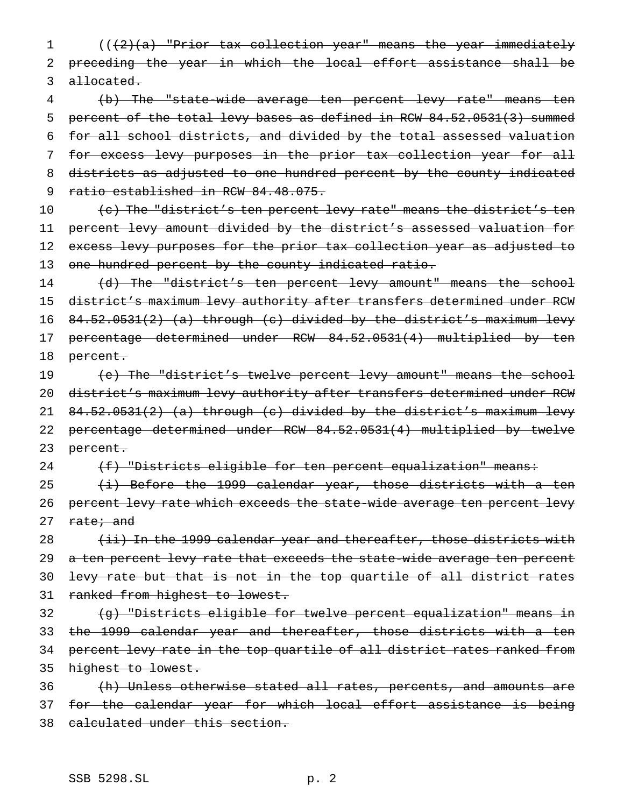1 (((2)(a) "Prior tax collection year" means the year immediately 2 preceding the year in which the local effort assistance shall be 3 allocated.

 (b) The "state-wide average ten percent levy rate" means ten percent of the total levy bases as defined in RCW 84.52.0531(3) summed for all school districts, and divided by the total assessed valuation for excess levy purposes in the prior tax collection year for all districts as adjusted to one hundred percent by the county indicated 9 ratio established in RCW 84.48.075.

10 (c) The "district's ten percent levy rate" means the district's ten 11 percent levy amount divided by the district's assessed valuation for 12 excess levy purposes for the prior tax collection year as adjusted to 13 one hundred percent by the county indicated ratio.

14 (d) The "district's ten percent levy amount" means the school 15 district's maximum levy authority after transfers determined under RCW 16 84.52.0531(2) (a) through (c) divided by the district's maximum levy 17 percentage determined under RCW 84.52.0531(4) multiplied by ten 18 percent.

19 (e) The "district's twelve percent levy amount" means the school 20 district's maximum levy authority after transfers determined under RCW 21 84.52.0531(2) (a) through (c) divided by the district's maximum levy 22 percentage determined under RCW 84.52.0531(4) multiplied by twelve 23 percent.

24 (f) "Districts eligible for ten percent equalization" means:

25  $(i)$  Before the 1999 calendar year, those districts with a ten 26 percent levy rate which exceeds the state-wide average ten percent levy 27 rate; and

28 (ii) In the 1999 calendar year and thereafter, those districts with 29 a ten percent levy rate that exceeds the state-wide average ten percent 30 levy rate but that is not in the top quartile of all district rates 31 ranked from highest to lowest.

32 (g) "Districts eligible for twelve percent equalization" means in 33 the 1999 calendar year and thereafter, those districts with a ten 34 percent levy rate in the top quartile of all district rates ranked from 35 highest to lowest.

36 (h) Unless otherwise stated all rates, percents, and amounts are 37 for the calendar year for which local effort assistance is being 38 calculated under this section.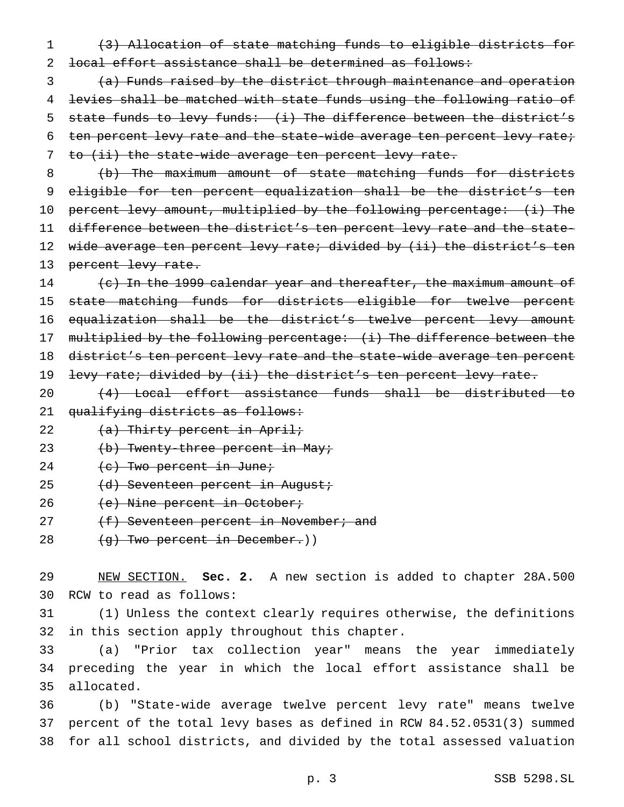1 (3) Allocation of state matching funds to eligible districts for 2 local effort assistance shall be determined as follows:

3 (a) Funds raised by the district through maintenance and operation 4 levies shall be matched with state funds using the following ratio of 5 state funds to levy funds: (i) The difference between the district's 6 ten percent levy rate and the state-wide average ten percent levy rate; 7 to (ii) the state-wide average ten percent levy rate.

8 (b) The maximum amount of state matching funds for districts 9 eligible for ten percent equalization shall be the district's ten 10 percent levy amount, multiplied by the following percentage: (i) The 11 difference between the district's ten percent levy rate and the state-12 wide average ten percent levy rate; divided by (ii) the district's ten 13 percent levy rate.

14 (c) In the 1999 calendar year and thereafter, the maximum amount of 15 state matching funds for districts eligible for twelve percent 16 equalization shall be the district's twelve percent levy amount 17 multiplied by the following percentage: (i) The difference between the 18 district's ten percent levy rate and the state-wide average ten percent 19 levy rate; divided by (ii) the district's ten percent levy rate.

20 (4) Local effort assistance funds shall be distributed to 21 qualifying districts as follows:

22 (a) Thirty percent in April;

23 (b) Twenty-three percent in May;

- 24  $(e)$  Two percent in June;
- 25 (d) Seventeen percent in August;
- 26 (e) Nine percent in October;
- 27  $(f)$  Seventeen percent in November; and
- 28 (g) Two percent in December.)

29 NEW SECTION. **Sec. 2.** A new section is added to chapter 28A.500 30 RCW to read as follows:

31 (1) Unless the context clearly requires otherwise, the definitions 32 in this section apply throughout this chapter.

33 (a) "Prior tax collection year" means the year immediately 34 preceding the year in which the local effort assistance shall be 35 allocated.

36 (b) "State-wide average twelve percent levy rate" means twelve 37 percent of the total levy bases as defined in RCW 84.52.0531(3) summed 38 for all school districts, and divided by the total assessed valuation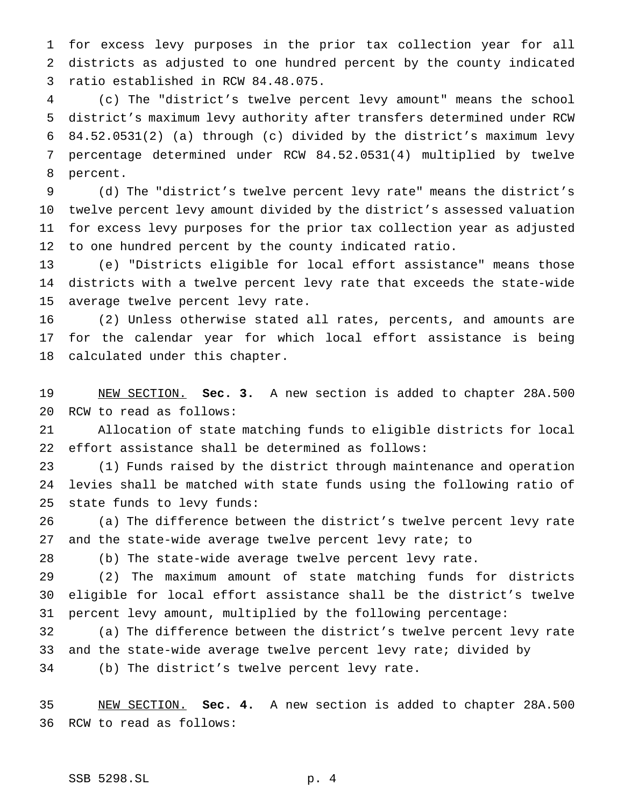for excess levy purposes in the prior tax collection year for all districts as adjusted to one hundred percent by the county indicated ratio established in RCW 84.48.075.

 (c) The "district's twelve percent levy amount" means the school district's maximum levy authority after transfers determined under RCW 84.52.0531(2) (a) through (c) divided by the district's maximum levy percentage determined under RCW 84.52.0531(4) multiplied by twelve percent.

 (d) The "district's twelve percent levy rate" means the district's twelve percent levy amount divided by the district's assessed valuation for excess levy purposes for the prior tax collection year as adjusted to one hundred percent by the county indicated ratio.

 (e) "Districts eligible for local effort assistance" means those districts with a twelve percent levy rate that exceeds the state-wide average twelve percent levy rate.

 (2) Unless otherwise stated all rates, percents, and amounts are for the calendar year for which local effort assistance is being calculated under this chapter.

 NEW SECTION. **Sec. 3.** A new section is added to chapter 28A.500 RCW to read as follows:

 Allocation of state matching funds to eligible districts for local effort assistance shall be determined as follows:

 (1) Funds raised by the district through maintenance and operation levies shall be matched with state funds using the following ratio of state funds to levy funds:

 (a) The difference between the district's twelve percent levy rate and the state-wide average twelve percent levy rate; to

(b) The state-wide average twelve percent levy rate.

 (2) The maximum amount of state matching funds for districts eligible for local effort assistance shall be the district's twelve percent levy amount, multiplied by the following percentage:

 (a) The difference between the district's twelve percent levy rate and the state-wide average twelve percent levy rate; divided by

(b) The district's twelve percent levy rate.

 NEW SECTION. **Sec. 4.** A new section is added to chapter 28A.500 RCW to read as follows: